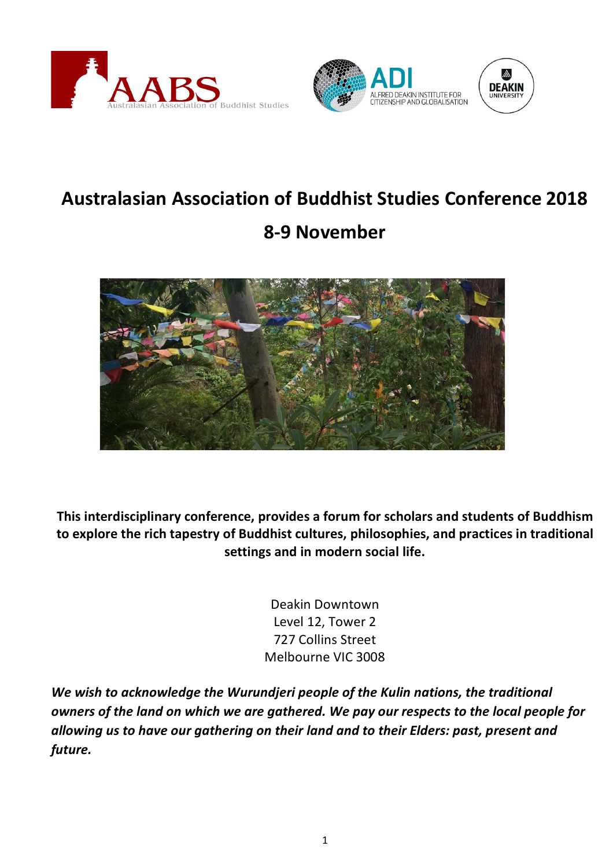



# **Australasian Association of Buddhist Studies Conference 2018**

# **8-9 November**



**This interdisciplinary conference, provides a forum for scholars and students of Buddhism to explore the rich tapestry of Buddhist cultures, philosophies, and practices in traditional settings and in modern social life.**

> Deakin Downtown Level 12, Tower 2 727 Collins Street Melbourne VIC 3008

*We wish to acknowledge the Wurundjeri people of the Kulin nations, the traditional owners of the land on which we are gathered. We pay our respects to the local people for allowing us to have our gathering on their land and to their Elders: past, present and future.*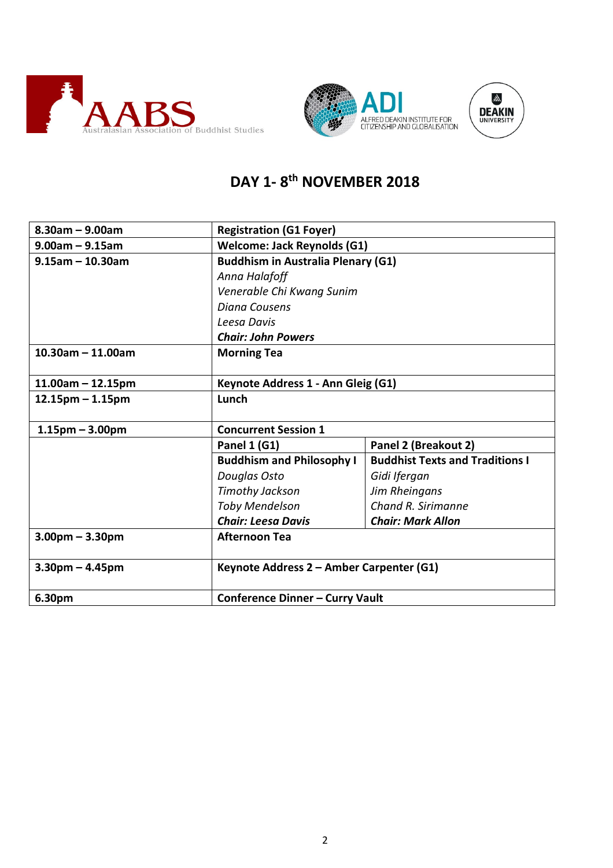





## **DAY 1- 8th NOVEMBER 2018**

| $8.30$ am - 9.00am    | <b>Registration (G1 Foyer)</b>            |                                        |  |  |
|-----------------------|-------------------------------------------|----------------------------------------|--|--|
| $9.00am - 9.15am$     | <b>Welcome: Jack Reynolds (G1)</b>        |                                        |  |  |
| $9.15$ am - 10.30am   | <b>Buddhism in Australia Plenary (G1)</b> |                                        |  |  |
|                       | Anna Halafoff                             |                                        |  |  |
|                       | Venerable Chi Kwang Sunim                 |                                        |  |  |
|                       | <b>Diana Cousens</b>                      |                                        |  |  |
|                       | Leesa Davis                               |                                        |  |  |
|                       | <b>Chair: John Powers</b>                 |                                        |  |  |
| $10.30$ am - 11.00am  | <b>Morning Tea</b>                        |                                        |  |  |
|                       |                                           |                                        |  |  |
| $11.00am - 12.15pm$   | Keynote Address 1 - Ann Gleig (G1)        |                                        |  |  |
| $12.15$ pm – 1.15pm   | Lunch                                     |                                        |  |  |
|                       |                                           |                                        |  |  |
| $1.15$ pm – 3.00pm    | <b>Concurrent Session 1</b>               |                                        |  |  |
|                       | Panel 1 (G1)                              | Panel 2 (Breakout 2)                   |  |  |
|                       | <b>Buddhism and Philosophy I</b>          | <b>Buddhist Texts and Traditions I</b> |  |  |
|                       | Douglas Osto                              | Gidi Ifergan                           |  |  |
|                       | <b>Timothy Jackson</b>                    | Jim Rheingans                          |  |  |
|                       | <b>Toby Mendelson</b>                     | Chand R. Sirimanne                     |  |  |
|                       | <b>Chair: Leesa Davis</b>                 | <b>Chair: Mark Allon</b>               |  |  |
| $3.00$ pm $- 3.30$ pm | <b>Afternoon Tea</b>                      |                                        |  |  |
| $3.30$ pm – 4.45pm    | Keynote Address 2 - Amber Carpenter (G1)  |                                        |  |  |
| 6.30pm                | <b>Conference Dinner - Curry Vault</b>    |                                        |  |  |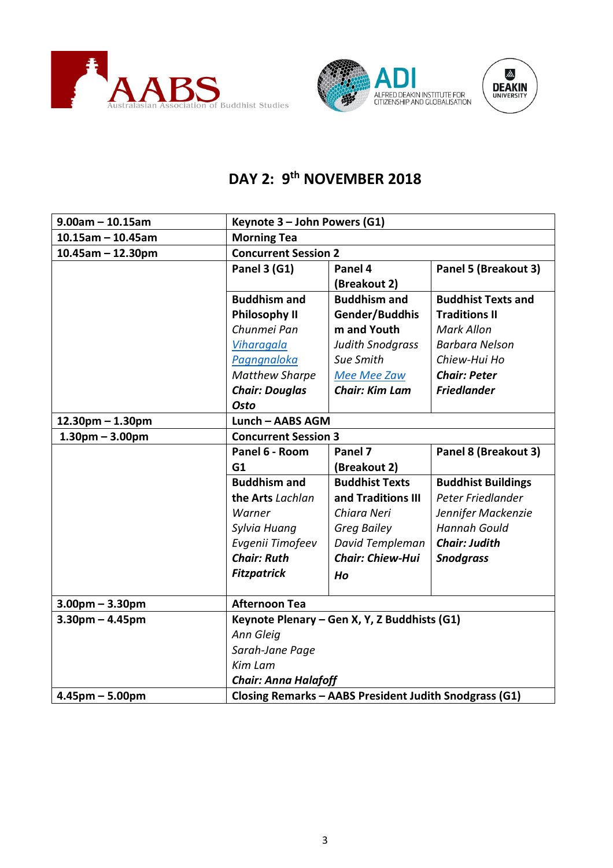





## **DAY 2: 9th NOVEMBER 2018**

| $9.00$ am - 10.15am   | Keynote 3 - John Powers (G1)                           |                                              |                           |  |
|-----------------------|--------------------------------------------------------|----------------------------------------------|---------------------------|--|
| $10.15$ am - 10.45am  | <b>Morning Tea</b>                                     |                                              |                           |  |
| $10.45$ am - 12.30pm  | <b>Concurrent Session 2</b>                            |                                              |                           |  |
|                       | <b>Panel 3 (G1)</b>                                    | Panel 4                                      | Panel 5 (Breakout 3)      |  |
|                       |                                                        | (Breakout 2)                                 |                           |  |
|                       | <b>Buddhism and</b>                                    | <b>Buddhism and</b>                          | <b>Buddhist Texts and</b> |  |
|                       | <b>Philosophy II</b>                                   | Gender/Buddhis                               | <b>Traditions II</b>      |  |
|                       | Chunmei Pan                                            | m and Youth                                  | <b>Mark Allon</b>         |  |
|                       | Viharagala                                             | <b>Judith Snodgrass</b>                      | <b>Barbara Nelson</b>     |  |
|                       | Pagngnaloka                                            | Sue Smith                                    | Chiew-Hui Ho              |  |
|                       | <b>Matthew Sharpe</b>                                  | Mee Mee Zaw                                  | <b>Chair: Peter</b>       |  |
|                       | <b>Chair: Douglas</b>                                  | <b>Chair: Kim Lam</b>                        | <b>Friedlander</b>        |  |
|                       | <b>Osto</b>                                            |                                              |                           |  |
| 12.30pm - 1.30pm      | Lunch - AABS AGM                                       |                                              |                           |  |
| $1.30pm - 3.00pm$     | <b>Concurrent Session 3</b>                            |                                              |                           |  |
|                       | Panel 6 - Room                                         | Panel 7                                      | Panel 8 (Breakout 3)      |  |
|                       | G1                                                     | (Breakout 2)                                 |                           |  |
|                       | <b>Buddhism and</b>                                    | <b>Buddhist Texts</b>                        | <b>Buddhist Buildings</b> |  |
|                       | the Arts Lachlan                                       | and Traditions III                           | Peter Friedlander         |  |
|                       | Warner                                                 | Chiara Neri                                  | Jennifer Mackenzie        |  |
|                       | Sylvia Huang                                           | <b>Greg Bailey</b>                           | <b>Hannah Gould</b>       |  |
|                       | Evgenii Timofeev                                       | David Templeman                              | <b>Chair: Judith</b>      |  |
|                       | <b>Chair: Ruth</b>                                     | <b>Chair: Chiew-Hui</b>                      | <b>Snodgrass</b>          |  |
|                       | <b>Fitzpatrick</b>                                     | Ho                                           |                           |  |
|                       |                                                        |                                              |                           |  |
| $3.00$ pm – $3.30$ pm | <b>Afternoon Tea</b>                                   |                                              |                           |  |
| $3.30pm - 4.45pm$     |                                                        | Keynote Plenary - Gen X, Y, Z Buddhists (G1) |                           |  |
|                       | Ann Gleig                                              |                                              |                           |  |
|                       | Sarah-Jane Page                                        |                                              |                           |  |
|                       | <b>Kim Lam</b>                                         |                                              |                           |  |
|                       | <b>Chair: Anna Halafoff</b>                            |                                              |                           |  |
| $4.45$ pm $- 5.00$ pm | Closing Remarks - AABS President Judith Snodgrass (G1) |                                              |                           |  |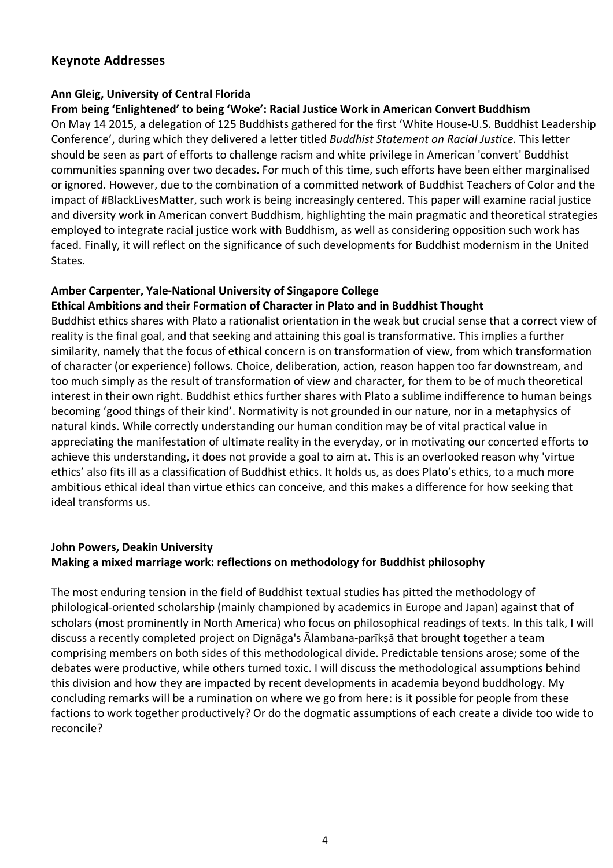### **Keynote Addresses**

#### **Ann Gleig, University of Central Florida**

#### **From being 'Enlightened' to being 'Woke': Racial Justice Work in American Convert Buddhism**

On May 14 2015, a delegation of 125 Buddhists gathered for the first 'White House-U.S. Buddhist Leadership Conference', during which they delivered a letter titled *Buddhist Statement on Racial Justice.* This letter should be seen as part of efforts to challenge racism and white privilege in American 'convert' Buddhist communities spanning over two decades. For much of this time, such efforts have been either marginalised or ignored. However, due to the combination of a committed network of Buddhist Teachers of Color and the impact of #BlackLivesMatter, such work is being increasingly centered. This paper will examine racial justice and diversity work in American convert Buddhism, highlighting the main pragmatic and theoretical strategies employed to integrate racial justice work with Buddhism, as well as considering opposition such work has faced. Finally, it will reflect on the significance of such developments for Buddhist modernism in the United States.

#### **Amber Carpenter, Yale-National University of Singapore College**

#### **Ethical Ambitions and their Formation of Character in Plato and in Buddhist Thought**

Buddhist ethics shares with Plato a rationalist orientation in the weak but crucial sense that a correct view of reality is the final goal, and that seeking and attaining this goal is transformative. This implies a further similarity, namely that the focus of ethical concern is on transformation of view, from which transformation of character (or experience) follows. Choice, deliberation, action, reason happen too far downstream, and too much simply as the result of transformation of view and character, for them to be of much theoretical interest in their own right. Buddhist ethics further shares with Plato a sublime indifference to human beings becoming 'good things of their kind'. Normativity is not grounded in our nature, nor in a metaphysics of natural kinds. While correctly understanding our human condition may be of vital practical value in appreciating the manifestation of ultimate reality in the everyday, or in motivating our concerted efforts to achieve this understanding, it does not provide a goal to aim at. This is an overlooked reason why 'virtue ethics' also fits ill as a classification of Buddhist ethics. It holds us, as does Plato's ethics, to a much more ambitious ethical ideal than virtue ethics can conceive, and this makes a difference for how seeking that ideal transforms us.

#### **John Powers, Deakin University Making a mixed marriage work: reflections on methodology for Buddhist philosophy**

The most enduring tension in the field of Buddhist textual studies has pitted the methodology of philological-oriented scholarship (mainly championed by academics in Europe and Japan) against that of scholars (most prominently in North America) who focus on philosophical readings of texts. In this talk, I will discuss a recently completed project on Dignāga's Ālambana-parīkṣā that brought together a team comprising members on both sides of this methodological divide. Predictable tensions arose; some of the debates were productive, while others turned toxic. I will discuss the methodological assumptions behind this division and how they are impacted by recent developments in academia beyond buddhology. My concluding remarks will be a rumination on where we go from here: is it possible for people from these factions to work together productively? Or do the dogmatic assumptions of each create a divide too wide to reconcile?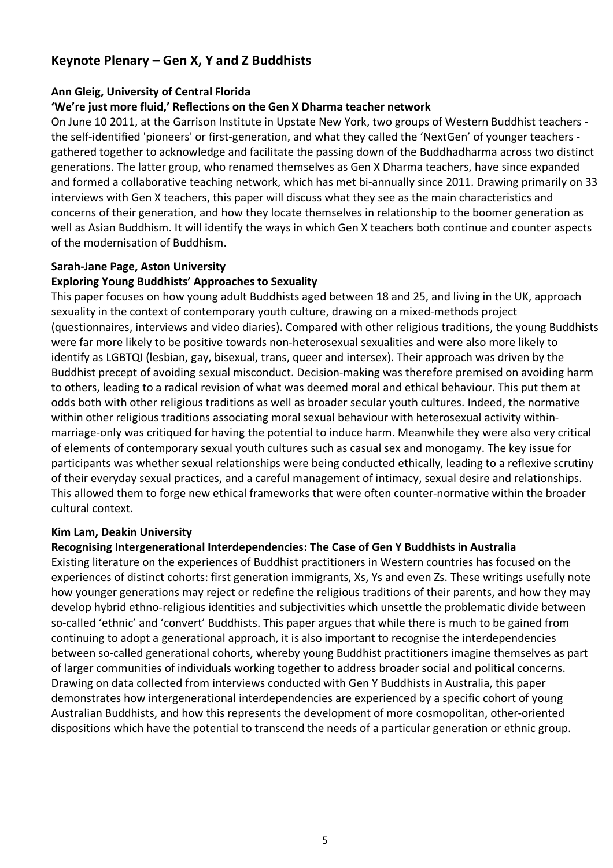## **Keynote Plenary – Gen X, Y and Z Buddhists**

#### **Ann Gleig, University of Central Florida**

#### **'We're just more fluid,' Reflections on the Gen X Dharma teacher network**

On June 10 2011, at the Garrison Institute in Upstate New York, two groups of Western Buddhist teachers the self-identified 'pioneers' or first-generation, and what they called the 'NextGen' of younger teachers gathered together to acknowledge and facilitate the passing down of the Buddhadharma across two distinct generations. The latter group, who renamed themselves as Gen X Dharma teachers, have since expanded and formed a collaborative teaching network, which has met bi-annually since 2011. Drawing primarily on 33 interviews with Gen X teachers, this paper will discuss what they see as the main characteristics and concerns of their generation, and how they locate themselves in relationship to the boomer generation as well as Asian Buddhism. It will identify the ways in which Gen X teachers both continue and counter aspects of the modernisation of Buddhism.

#### **Sarah-Jane Page, Aston University**

#### **Exploring Young Buddhists' Approaches to Sexuality**

This paper focuses on how young adult Buddhists aged between 18 and 25, and living in the UK, approach sexuality in the context of contemporary youth culture, drawing on a mixed-methods project (questionnaires, interviews and video diaries). Compared with other religious traditions, the young Buddhists were far more likely to be positive towards non-heterosexual sexualities and were also more likely to identify as LGBTQI (lesbian, gay, bisexual, trans, queer and intersex). Their approach was driven by the Buddhist precept of avoiding sexual misconduct. Decision-making was therefore premised on avoiding harm to others, leading to a radical revision of what was deemed moral and ethical behaviour. This put them at odds both with other religious traditions as well as broader secular youth cultures. Indeed, the normative within other religious traditions associating moral sexual behaviour with heterosexual activity withinmarriage-only was critiqued for having the potential to induce harm. Meanwhile they were also very critical of elements of contemporary sexual youth cultures such as casual sex and monogamy. The key issue for participants was whether sexual relationships were being conducted ethically, leading to a reflexive scrutiny of their everyday sexual practices, and a careful management of intimacy, sexual desire and relationships. This allowed them to forge new ethical frameworks that were often counter-normative within the broader cultural context.

#### **Kim Lam, Deakin University**

#### **Recognising Intergenerational Interdependencies: The Case of Gen Y Buddhists in Australia**

Existing literature on the experiences of Buddhist practitioners in Western countries has focused on the experiences of distinct cohorts: first generation immigrants, Xs, Ys and even Zs. These writings usefully note how younger generations may reject or redefine the religious traditions of their parents, and how they may develop hybrid ethno-religious identities and subjectivities which unsettle the problematic divide between so-called 'ethnic' and 'convert' Buddhists. This paper argues that while there is much to be gained from continuing to adopt a generational approach, it is also important to recognise the interdependencies between so-called generational cohorts, whereby young Buddhist practitioners imagine themselves as part of larger communities of individuals working together to address broader social and political concerns. Drawing on data collected from interviews conducted with Gen Y Buddhists in Australia, this paper demonstrates how intergenerational interdependencies are experienced by a specific cohort of young Australian Buddhists, and how this represents the development of more cosmopolitan, other-oriented dispositions which have the potential to transcend the needs of a particular generation or ethnic group.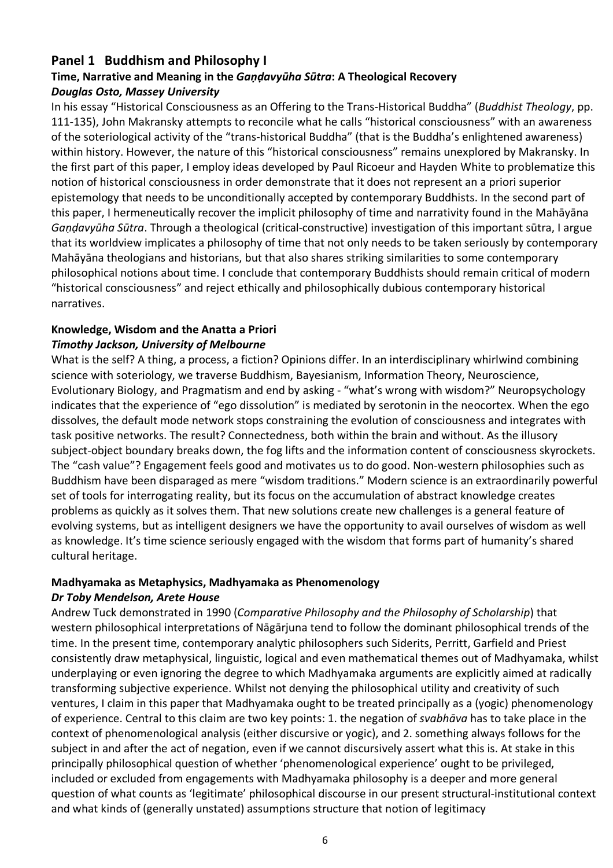## **Panel 1 Buddhism and Philosophy I**

### **Time, Narrative and Meaning in the** *Gaṇḍavyūha Sūtra***: A Theological Recovery** *Douglas Osto, Massey University*

In his essay "Historical Consciousness as an Offering to the Trans-Historical Buddha" (*Buddhist Theology*, pp. 111-135), John Makransky attempts to reconcile what he calls "historical consciousness" with an awareness of the soteriological activity of the "trans-historical Buddha" (that is the Buddha's enlightened awareness) within history. However, the nature of this "historical consciousness" remains unexplored by Makransky. In the first part of this paper, I employ ideas developed by Paul Ricoeur and Hayden White to problematize this notion of historical consciousness in order demonstrate that it does not represent an a priori superior epistemology that needs to be unconditionally accepted by contemporary Buddhists. In the second part of this paper, I hermeneutically recover the implicit philosophy of time and narrativity found in the Mahāyāna *Gaṇḍavyūha Sūtra*. Through a theological (critical-constructive) investigation of this important sūtra, I argue that its worldview implicates a philosophy of time that not only needs to be taken seriously by contemporary Mahāyāna theologians and historians, but that also shares striking similarities to some contemporary philosophical notions about time. I conclude that contemporary Buddhists should remain critical of modern "historical consciousness" and reject ethically and philosophically dubious contemporary historical narratives.

## **Knowledge, Wisdom and the Anatta a Priori**

#### *Timothy Jackson, University of Melbourne*

What is the self? A thing, a process, a fiction? Opinions differ. In an interdisciplinary whirlwind combining science with soteriology, we traverse Buddhism, Bayesianism, Information Theory, Neuroscience, Evolutionary Biology, and Pragmatism and end by asking - "what's wrong with wisdom?" Neuropsychology indicates that the experience of "ego dissolution" is mediated by serotonin in the neocortex. When the ego dissolves, the default mode network stops constraining the evolution of consciousness and integrates with task positive networks. The result? Connectedness, both within the brain and without. As the illusory subject-object boundary breaks down, the fog lifts and the information content of consciousness skyrockets. The "cash value"? Engagement feels good and motivates us to do good. Non-western philosophies such as Buddhism have been disparaged as mere "wisdom traditions." Modern science is an extraordinarily powerful set of tools for interrogating reality, but its focus on the accumulation of abstract knowledge creates problems as quickly as it solves them. That new solutions create new challenges is a general feature of evolving systems, but as intelligent designers we have the opportunity to avail ourselves of wisdom as well as knowledge. It's time science seriously engaged with the wisdom that forms part of humanity's shared cultural heritage.

## **Madhyamaka as Metaphysics, Madhyamaka as Phenomenology**

#### *Dr Toby Mendelson, Arete House*

Andrew Tuck demonstrated in 1990 (*Comparative Philosophy and the Philosophy of Scholarship*) that western philosophical interpretations of Nāgārjuna tend to follow the dominant philosophical trends of the time. In the present time, contemporary analytic philosophers such Siderits, Perritt, Garfield and Priest consistently draw metaphysical, linguistic, logical and even mathematical themes out of Madhyamaka, whilst underplaying or even ignoring the degree to which Madhyamaka arguments are explicitly aimed at radically transforming subjective experience. Whilst not denying the philosophical utility and creativity of such ventures, I claim in this paper that Madhyamaka ought to be treated principally as a (yogic) phenomenology of experience. Central to this claim are two key points: 1. the negation of *svabhāva* has to take place in the context of phenomenological analysis (either discursive or yogic), and 2. something always follows for the subject in and after the act of negation, even if we cannot discursively assert what this is. At stake in this principally philosophical question of whether 'phenomenological experience' ought to be privileged, included or excluded from engagements with Madhyamaka philosophy is a deeper and more general question of what counts as 'legitimate' philosophical discourse in our present structural-institutional context and what kinds of (generally unstated) assumptions structure that notion of legitimacy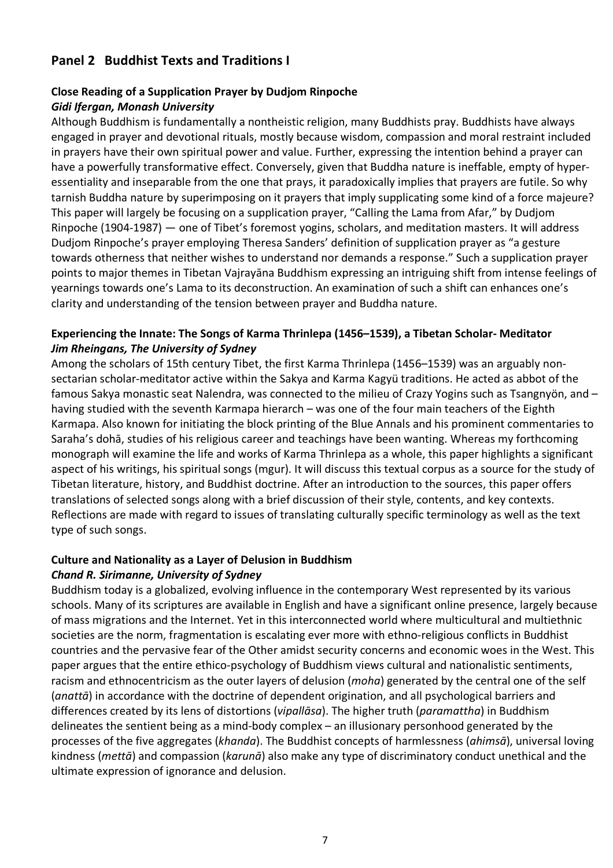## **Panel 2 Buddhist Texts and Traditions I**

#### **Close Reading of a Supplication Prayer by Dudjom Rinpoche** *Gidi Ifergan, Monash University*

Although Buddhism is fundamentally a nontheistic religion, many Buddhists pray. Buddhists have always engaged in prayer and devotional rituals, mostly because wisdom, compassion and moral restraint included in prayers have their own spiritual power and value. Further, expressing the intention behind a prayer can have a powerfully transformative effect. Conversely, given that Buddha nature is ineffable, empty of hyperessentiality and inseparable from the one that prays, it paradoxically implies that prayers are futile. So why tarnish Buddha nature by superimposing on it prayers that imply supplicating some kind of a force majeure? This paper will largely be focusing on a supplication prayer, "Calling the Lama from Afar," by Dudjom Rinpoche (1904-1987) — one of Tibet's foremost yogins, scholars, and meditation masters. It will address Dudjom Rinpoche's prayer employing Theresa Sanders' definition of supplication prayer as "a gesture towards otherness that neither wishes to understand nor demands a response." Such a supplication prayer points to major themes in Tibetan Vajrayāna Buddhism expressing an intriguing shift from intense feelings of yearnings towards one's Lama to its deconstruction. An examination of such a shift can enhances one's clarity and understanding of the tension between prayer and Buddha nature.

#### **Experiencing the Innate: The Songs of Karma Thrinlepa (1456–1539), a Tibetan Scholar- Meditator** *Jim Rheingans, The University of Sydney*

Among the scholars of 15th century Tibet, the first Karma Thrinlepa (1456–1539) was an arguably nonsectarian scholar-meditator active within the Sakya and Karma Kagyü traditions. He acted as abbot of the famous Sakya monastic seat Nalendra, was connected to the milieu of Crazy Yogins such as Tsangnyön, and – having studied with the seventh Karmapa hierarch – was one of the four main teachers of the Eighth Karmapa. Also known for initiating the block printing of the Blue Annals and his prominent commentaries to Saraha's dohā, studies of his religious career and teachings have been wanting. Whereas my forthcoming monograph will examine the life and works of Karma Thrinlepa as a whole, this paper highlights a significant aspect of his writings, his spiritual songs (mgur). It will discuss this textual corpus as a source for the study of Tibetan literature, history, and Buddhist doctrine. After an introduction to the sources, this paper offers translations of selected songs along with a brief discussion of their style, contents, and key contexts. Reflections are made with regard to issues of translating culturally specific terminology as well as the text type of such songs.

#### **Culture and Nationality as a Layer of Delusion in Buddhism**

#### *Chand R. Sirimanne, University of Sydney*

Buddhism today is a globalized, evolving influence in the contemporary West represented by its various schools. Many of its scriptures are available in English and have a significant online presence, largely because of mass migrations and the Internet. Yet in this interconnected world where multicultural and multiethnic societies are the norm, fragmentation is escalating ever more with ethno-religious conflicts in Buddhist countries and the pervasive fear of the Other amidst security concerns and economic woes in the West. This paper argues that the entire ethico-psychology of Buddhism views cultural and nationalistic sentiments, racism and ethnocentricism as the outer layers of delusion (*moha*) generated by the central one of the self (*anattā*) in accordance with the doctrine of dependent origination, and all psychological barriers and differences created by its lens of distortions (*vipallāsa*). The higher truth (*paramattha*) in Buddhism delineates the sentient being as a mind-body complex – an illusionary personhood generated by the processes of the five aggregates (*khanda*). The Buddhist concepts of harmlessness (*ahimsā*), universal loving kindness (*mettā*) and compassion (*karunā*) also make any type of discriminatory conduct unethical and the ultimate expression of ignorance and delusion.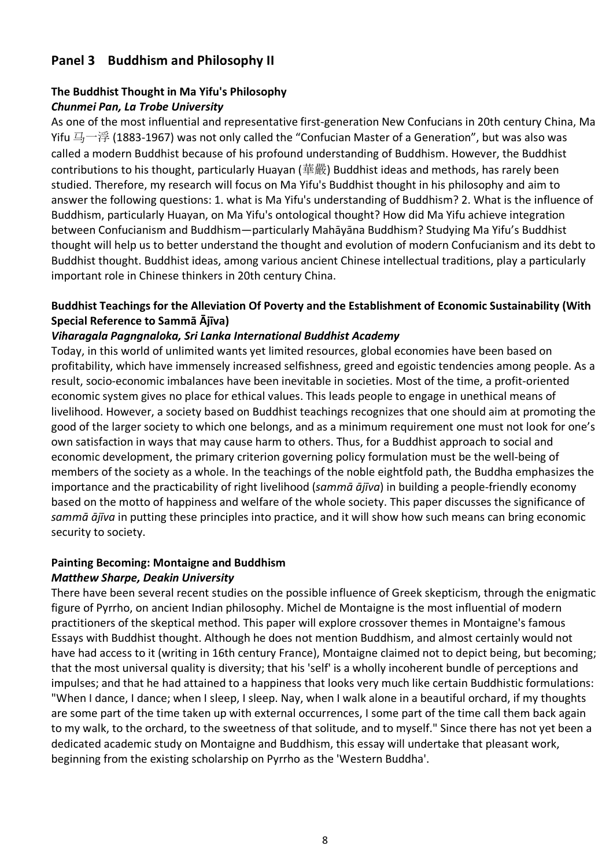## **Panel 3 Buddhism and Philosophy II**

#### **The Buddhist Thought in Ma Yifu's Philosophy** *Chunmei Pan, La Trobe University*

As one of the most influential and representative first-generation New Confucians in 20th century China, Ma Yifu 马一浮 (1883-1967) was not only called the "Confucian Master of a Generation", but was also was called a modern Buddhist because of his profound understanding of Buddhism. However, the Buddhist contributions to his thought, particularly Huayan (華嚴) Buddhist ideas and methods, has rarely been studied. Therefore, my research will focus on Ma Yifu's Buddhist thought in his philosophy and aim to answer the following questions: 1. what is Ma Yifu's understanding of Buddhism? 2. What is the influence of Buddhism, particularly Huayan, on Ma Yifu's ontological thought? How did Ma Yifu achieve integration between Confucianism and Buddhism—particularly Mahāyāna Buddhism? Studying Ma Yifu's Buddhist thought will help us to better understand the thought and evolution of modern Confucianism and its debt to Buddhist thought. Buddhist ideas, among various ancient Chinese intellectual traditions, play a particularly important role in Chinese thinkers in 20th century China.

#### **Buddhist Teachings for the Alleviation Of Poverty and the Establishment of Economic Sustainability (With Special Reference to Sammā Ājīva)**

#### *Viharagala Pagngnaloka, Sri Lanka International Buddhist Academy*

Today, in this world of unlimited wants yet limited resources, global economies have been based on profitability, which have immensely increased selfishness, greed and egoistic tendencies among people. As a result, socio-economic imbalances have been inevitable in societies. Most of the time, a profit-oriented economic system gives no place for ethical values. This leads people to engage in unethical means of livelihood. However, a society based on Buddhist teachings recognizes that one should aim at promoting the good of the larger society to which one belongs, and as a minimum requirement one must not look for one's own satisfaction in ways that may cause harm to others. Thus, for a Buddhist approach to social and economic development, the primary criterion governing policy formulation must be the well-being of members of the society as a whole. In the teachings of the noble eightfold path, the Buddha emphasizes the importance and the practicability of right livelihood (*sammā ājīva*) in building a people-friendly economy based on the motto of happiness and welfare of the whole society. This paper discusses the significance of *sammā ājīva* in putting these principles into practice, and it will show how such means can bring economic security to society.

#### **Painting Becoming: Montaigne and Buddhism**

#### *Matthew Sharpe, Deakin University*

There have been several recent studies on the possible influence of Greek skepticism, through the enigmatic figure of Pyrrho, on ancient Indian philosophy. Michel de Montaigne is the most influential of modern practitioners of the skeptical method. This paper will explore crossover themes in Montaigne's famous Essays with Buddhist thought. Although he does not mention Buddhism, and almost certainly would not have had access to it (writing in 16th century France), Montaigne claimed not to depict being, but becoming; that the most universal quality is diversity; that his 'self' is a wholly incoherent bundle of perceptions and impulses; and that he had attained to a happiness that looks very much like certain Buddhistic formulations: "When I dance, I dance; when I sleep, I sleep. Nay, when I walk alone in a beautiful orchard, if my thoughts are some part of the time taken up with external occurrences, I some part of the time call them back again to my walk, to the orchard, to the sweetness of that solitude, and to myself." Since there has not yet been a dedicated academic study on Montaigne and Buddhism, this essay will undertake that pleasant work, beginning from the existing scholarship on Pyrrho as the 'Western Buddha'.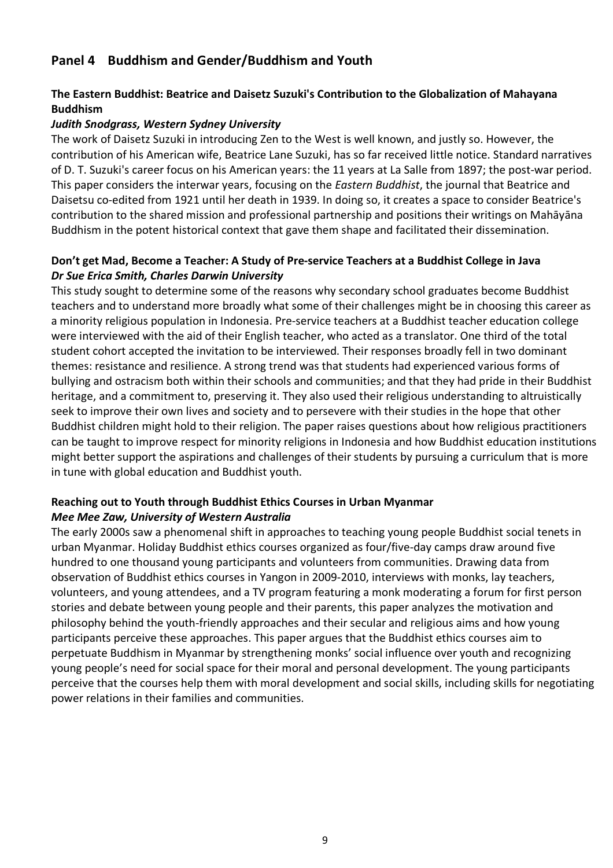## **Panel 4 Buddhism and Gender/Buddhism and Youth**

#### **The Eastern Buddhist: Beatrice and Daisetz Suzuki's Contribution to the Globalization of Mahayana Buddhism**

#### *Judith Snodgrass, Western Sydney University*

The work of Daisetz Suzuki in introducing Zen to the West is well known, and justly so. However, the contribution of his American wife, Beatrice Lane Suzuki, has so far received little notice. Standard narratives of D. T. Suzuki's career focus on his American years: the 11 years at La Salle from 1897; the post-war period. This paper considers the interwar years, focusing on the *Eastern Buddhist*, the journal that Beatrice and Daisetsu co-edited from 1921 until her death in 1939. In doing so, it creates a space to consider Beatrice's contribution to the shared mission and professional partnership and positions their writings on Mahāyāna Buddhism in the potent historical context that gave them shape and facilitated their dissemination.

#### **Don't get Mad, Become a Teacher: A Study of Pre-service Teachers at a Buddhist College in Java** *Dr Sue Erica Smith, Charles Darwin University*

This study sought to determine some of the reasons why secondary school graduates become Buddhist teachers and to understand more broadly what some of their challenges might be in choosing this career as a minority religious population in Indonesia. Pre-service teachers at a Buddhist teacher education college were interviewed with the aid of their English teacher, who acted as a translator. One third of the total student cohort accepted the invitation to be interviewed. Their responses broadly fell in two dominant themes: resistance and resilience. A strong trend was that students had experienced various forms of bullying and ostracism both within their schools and communities; and that they had pride in their Buddhist heritage, and a commitment to, preserving it. They also used their religious understanding to altruistically seek to improve their own lives and society and to persevere with their studies in the hope that other Buddhist children might hold to their religion. The paper raises questions about how religious practitioners can be taught to improve respect for minority religions in Indonesia and how Buddhist education institutions might better support the aspirations and challenges of their students by pursuing a curriculum that is more in tune with global education and Buddhist youth.

#### **Reaching out to Youth through Buddhist Ethics Courses in Urban Myanmar** *Mee Mee Zaw, University of Western Australia*

The early 2000s saw a phenomenal shift in approaches to teaching young people Buddhist social tenets in urban Myanmar. Holiday Buddhist ethics courses organized as four/five-day camps draw around five hundred to one thousand young participants and volunteers from communities. Drawing data from observation of Buddhist ethics courses in Yangon in 2009-2010, interviews with monks, lay teachers, volunteers, and young attendees, and a TV program featuring a monk moderating a forum for first person stories and debate between young people and their parents, this paper analyzes the motivation and philosophy behind the youth-friendly approaches and their secular and religious aims and how young participants perceive these approaches. This paper argues that the Buddhist ethics courses aim to perpetuate Buddhism in Myanmar by strengthening monks' social influence over youth and recognizing young people's need for social space for their moral and personal development. The young participants perceive that the courses help them with moral development and social skills, including skills for negotiating power relations in their families and communities.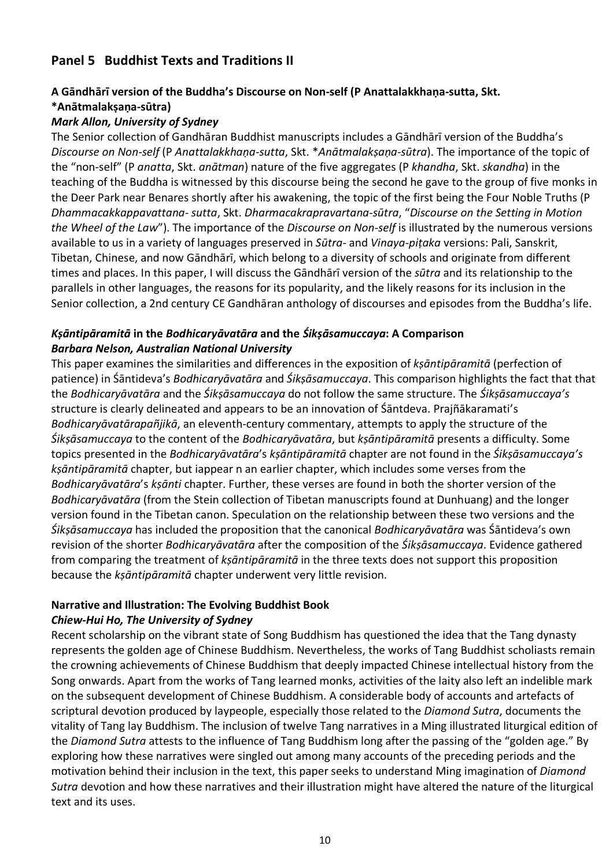## **Panel 5 Buddhist Texts and Traditions II**

#### **A Gāndhārī version of the Buddha's Discourse on Non-self (P Anattalakkhaṇa-sutta, Skt. \*Anātmalakṣaṇa-sūtra)**

#### *Mark Allon, University of Sydney*

The Senior collection of Gandhāran Buddhist manuscripts includes a Gāndhārī version of the Buddha's *Discourse on Non-self* (P *Anattalakkhaṇa-sutta*, Skt. \**Anātmalakṣaṇa-sūtra*). The importance of the topic of the "non-self" (P *anatta*, Skt. *anātman*) nature of the five aggregates (P *khandha*, Skt. *skandha*) in the teaching of the Buddha is witnessed by this discourse being the second he gave to the group of five monks in the Deer Park near Benares shortly after his awakening, the topic of the first being the Four Noble Truths (P *Dhammacakkappavattana- sutta*, Skt. *Dharmacakrapravartana-sūtra*, "*Discourse on the Setting in Motion the Wheel of the Law*"). The importance of the *Discourse on Non-self* is illustrated by the numerous versions available to us in a variety of languages preserved in *Sūtra*- and *Vinaya-piṭaka* versions: Pali, Sanskrit, Tibetan, Chinese, and now Gāndhārī, which belong to a diversity of schools and originate from different times and places. In this paper, I will discuss the Gāndhārī version of the *sūtra* and its relationship to the parallels in other languages, the reasons for its popularity, and the likely reasons for its inclusion in the Senior collection, a 2nd century CE Gandhāran anthology of discourses and episodes from the Buddha's life.

#### *Kṣāntipāramitā* **in the** *Bodhicaryāvatāra* **and the** *Śikṣāsamuccaya***: A Comparison** *Barbara Nelson, Australian National University*

This paper examines the similarities and differences in the exposition of *kṣāntipāramitā* (perfection of patience) in Śāntideva's *Bodhicaryāvatāra* and *Śikṣāsamuccaya*. This comparison highlights the fact that that the *Bodhicaryāvatāra* and the *Śikṣāsamuccaya* do not follow the same structure. The *Śikṣāsamuccaya's* structure is clearly delineated and appears to be an innovation of Śāntdeva. Prajñākaramati's *Bodhicaryāvatārapañjikā*, an eleventh-century commentary, attempts to apply the structure of the *Śikṣāsamuccaya* to the content of the *Bodhicaryāvatāra*, but *kṣāntipāramitā* presents a difficulty. Some topics presented in the *Bodhicaryāvatāra*'s *kṣāntipāramitā* chapter are not found in the *Śikṣāsamuccaya's kṣāntipāramitā* chapter, but iappear n an earlier chapter, which includes some verses from the *Bodhicaryāvatāra*'s *kṣānti* chapter. Further, these verses are found in both the shorter version of the *Bodhicaryāvatāra* (from the Stein collection of Tibetan manuscripts found at Dunhuang) and the longer version found in the Tibetan canon. Speculation on the relationship between these two versions and the *Śikṣāsamuccaya* has included the proposition that the canonical *Bodhicaryāvatāra* was Śāntideva's own revision of the shorter *Bodhicaryāvatāra* after the composition of the *Śikṣāsamuccaya*. Evidence gathered from comparing the treatment of *kṣāntipāramitā* in the three texts does not support this proposition because the *kṣāntipāramitā* chapter underwent very little revision.

#### **Narrative and Illustration: The Evolving Buddhist Book**

#### *Chiew-Hui Ho, The University of Sydney*

Recent scholarship on the vibrant state of Song Buddhism has questioned the idea that the Tang dynasty represents the golden age of Chinese Buddhism. Nevertheless, the works of Tang Buddhist scholiasts remain the crowning achievements of Chinese Buddhism that deeply impacted Chinese intellectual history from the Song onwards. Apart from the works of Tang learned monks, activities of the laity also left an indelible mark on the subsequent development of Chinese Buddhism. A considerable body of accounts and artefacts of scriptural devotion produced by laypeople, especially those related to the *Diamond Sutra*, documents the vitality of Tang lay Buddhism. The inclusion of twelve Tang narratives in a Ming illustrated liturgical edition of the *Diamond Sutra* attests to the influence of Tang Buddhism long after the passing of the "golden age." By exploring how these narratives were singled out among many accounts of the preceding periods and the motivation behind their inclusion in the text, this paper seeks to understand Ming imagination of *Diamond Sutra* devotion and how these narratives and their illustration might have altered the nature of the liturgical text and its uses.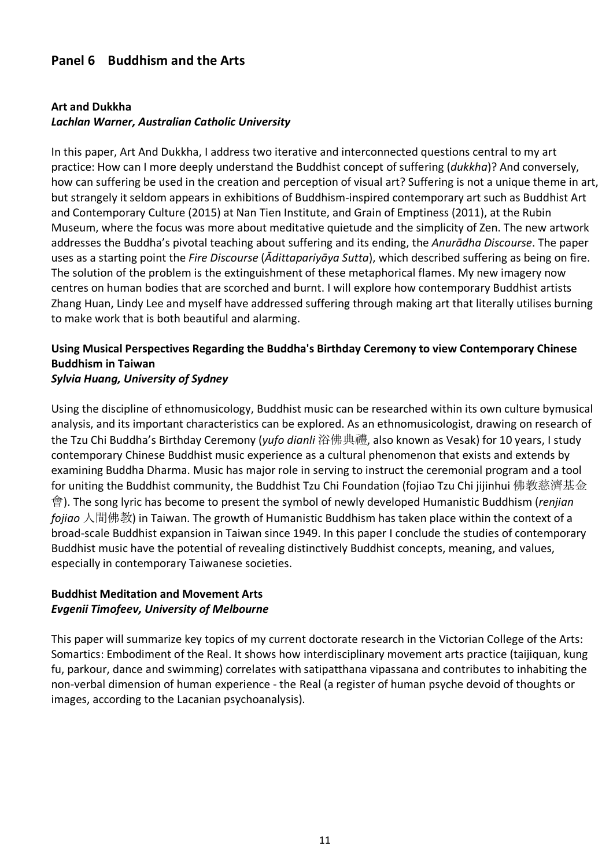## **Panel 6 Buddhism and the Arts**

#### **Art and Dukkha**

#### *Lachlan Warner, Australian Catholic University*

In this paper, Art And Dukkha, I address two iterative and interconnected questions central to my art practice: How can I more deeply understand the Buddhist concept of suffering (*dukkha*)? And conversely, how can suffering be used in the creation and perception of visual art? Suffering is not a unique theme in art, but strangely it seldom appears in exhibitions of Buddhism-inspired contemporary art such as Buddhist Art and Contemporary Culture (2015) at Nan Tien Institute, and Grain of Emptiness (2011), at the Rubin Museum, where the focus was more about meditative quietude and the simplicity of Zen. The new artwork addresses the Buddha's pivotal teaching about suffering and its ending, the *Anurādha Discourse*. The paper uses as a starting point the *Fire Discourse* (*Ādittapariyāya Sutta*), which described suffering as being on fire. The solution of the problem is the extinguishment of these metaphorical flames. My new imagery now centres on human bodies that are scorched and burnt. I will explore how contemporary Buddhist artists Zhang Huan, Lindy Lee and myself have addressed suffering through making art that literally utilises burning to make work that is both beautiful and alarming.

## **Using Musical Perspectives Regarding the Buddha's Birthday Ceremony to view Contemporary Chinese Buddhism in Taiwan**

## *Sylvia Huang, University of Sydney*

Using the discipline of ethnomusicology, Buddhist music can be researched within its own culture bymusical analysis, and its important characteristics can be explored. As an ethnomusicologist, drawing on research of the Tzu Chi Buddha's Birthday Ceremony (*yufo dianli* 浴佛典禮, also known as Vesak) for 10 years, I study contemporary Chinese Buddhist music experience as a cultural phenomenon that exists and extends by examining Buddha Dharma. Music has major role in serving to instruct the ceremonial program and a tool for uniting the Buddhist community, the Buddhist Tzu Chi Foundation (fojiao Tzu Chi jijinhui 佛教慈濟基金 會). The song lyric has become to present the symbol of newly developed Humanistic Buddhism (*renjian fojiao* 人間佛教) in Taiwan. The growth of Humanistic Buddhism has taken place within the context of a broad-scale Buddhist expansion in Taiwan since 1949. In this paper I conclude the studies of contemporary Buddhist music have the potential of revealing distinctively Buddhist concepts, meaning, and values, especially in contemporary Taiwanese societies.

#### **Buddhist Meditation and Movement Arts** *Evgenii Timofeev, University of Melbourne*

This paper will summarize key topics of my current doctorate research in the Victorian College of the Arts: Somartics: Embodiment of the Real. It shows how interdisciplinary movement arts practice (taijiquan, kung fu, parkour, dance and swimming) correlates with satipatthana vipassana and contributes to inhabiting the non-verbal dimension of human experience - the Real (a register of human psyche devoid of thoughts or images, according to the Lacanian psychoanalysis).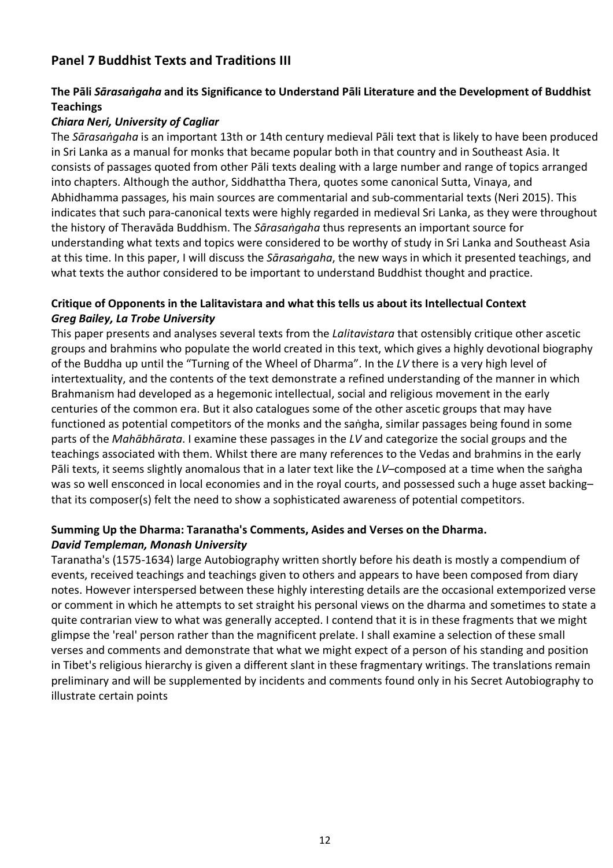## **Panel 7 Buddhist Texts and Traditions III**

#### **The Pāli** *Sārasaṅgaha* **and its Significance to Understand Pāli Literature and the Development of Buddhist Teachings**

#### *Chiara Neri, University of Cagliar*

The *Sārasaṅgaha* is an important 13th or 14th century medieval Pāli text that is likely to have been produced in Sri Lanka as a manual for monks that became popular both in that country and in Southeast Asia. It consists of passages quoted from other Pāli texts dealing with a large number and range of topics arranged into chapters. Although the author, Siddhattha Thera, quotes some canonical Sutta, Vinaya, and Abhidhamma passages, his main sources are commentarial and sub-commentarial texts (Neri 2015). This indicates that such para-canonical texts were highly regarded in medieval Sri Lanka, as they were throughout the history of Theravāda Buddhism. The *Sārasaṅgaha* thus represents an important source for understanding what texts and topics were considered to be worthy of study in Sri Lanka and Southeast Asia at this time. In this paper, I will discuss the *Sārasaṅgaha*, the new ways in which it presented teachings, and what texts the author considered to be important to understand Buddhist thought and practice.

#### **Critique of Opponents in the Lalitavistara and what this tells us about its Intellectual Context** *Greg Bailey, La Trobe University*

This paper presents and analyses several texts from the *Lalitavistara* that ostensibly critique other ascetic groups and brahmins who populate the world created in this text, which gives a highly devotional biography of the Buddha up until the "Turning of the Wheel of Dharma". In the *LV* there is a very high level of intertextuality, and the contents of the text demonstrate a refined understanding of the manner in which Brahmanism had developed as a hegemonic intellectual, social and religious movement in the early centuries of the common era. But it also catalogues some of the other ascetic groups that may have functioned as potential competitors of the monks and the saṅgha, similar passages being found in some parts of the *Mahābhārata*. I examine these passages in the *LV* and categorize the social groups and the teachings associated with them. Whilst there are many references to the Vedas and brahmins in the early Pāli texts, it seems slightly anomalous that in a later text like the *LV*–composed at a time when the saṅgha was so well ensconced in local economies and in the royal courts, and possessed such a huge asset backing– that its composer(s) felt the need to show a sophisticated awareness of potential competitors.

#### **Summing Up the Dharma: Taranatha's Comments, Asides and Verses on the Dharma.** *David Templeman, Monash University*

Taranatha's (1575-1634) large Autobiography written shortly before his death is mostly a compendium of events, received teachings and teachings given to others and appears to have been composed from diary notes. However interspersed between these highly interesting details are the occasional extemporized verse or comment in which he attempts to set straight his personal views on the dharma and sometimes to state a quite contrarian view to what was generally accepted. I contend that it is in these fragments that we might glimpse the 'real' person rather than the magnificent prelate. I shall examine a selection of these small verses and comments and demonstrate that what we might expect of a person of his standing and position in Tibet's religious hierarchy is given a different slant in these fragmentary writings. The translations remain preliminary and will be supplemented by incidents and comments found only in his Secret Autobiography to illustrate certain points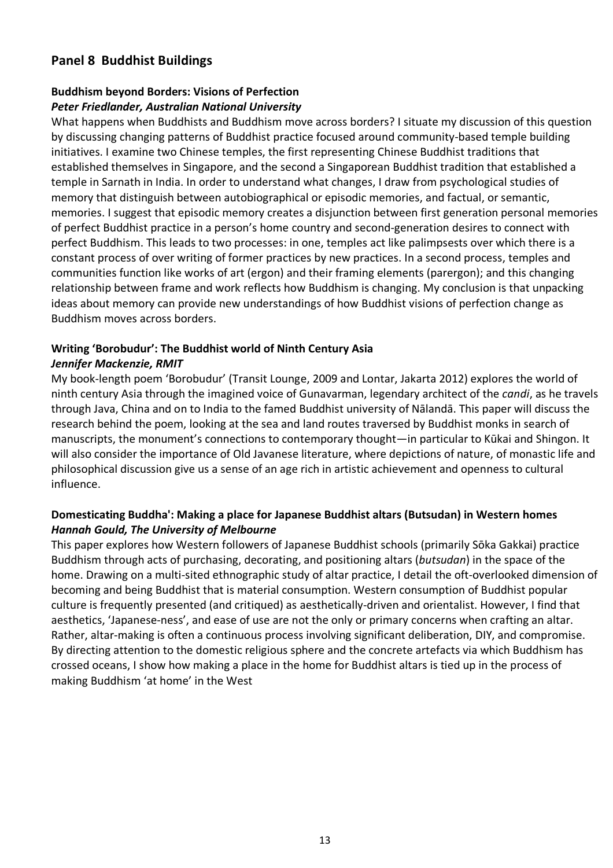## **Panel 8 Buddhist Buildings**

#### **Buddhism beyond Borders: Visions of Perfection** *Peter Friedlander, Australian National University*

What happens when Buddhists and Buddhism move across borders? I situate my discussion of this question by discussing changing patterns of Buddhist practice focused around community-based temple building initiatives. I examine two Chinese temples, the first representing Chinese Buddhist traditions that established themselves in Singapore, and the second a Singaporean Buddhist tradition that established a temple in Sarnath in India. In order to understand what changes, I draw from psychological studies of memory that distinguish between autobiographical or episodic memories, and factual, or semantic, memories. I suggest that episodic memory creates a disjunction between first generation personal memories of perfect Buddhist practice in a person's home country and second-generation desires to connect with perfect Buddhism. This leads to two processes: in one, temples act like palimpsests over which there is a constant process of over writing of former practices by new practices. In a second process, temples and communities function like works of art (ergon) and their framing elements (parergon); and this changing relationship between frame and work reflects how Buddhism is changing. My conclusion is that unpacking ideas about memory can provide new understandings of how Buddhist visions of perfection change as Buddhism moves across borders.

#### **Writing 'Borobudur': The Buddhist world of Ninth Century Asia** *Jennifer Mackenzie, RMIT*

My book-length poem 'Borobudur' (Transit Lounge, 2009 and Lontar, Jakarta 2012) explores the world of ninth century Asia through the imagined voice of Gunavarman, legendary architect of the *candi*, as he travels through Java, China and on to India to the famed Buddhist university of Nālandā. This paper will discuss the research behind the poem, looking at the sea and land routes traversed by Buddhist monks in search of manuscripts, the monument's connections to contemporary thought—in particular to Kūkai and Shingon. It will also consider the importance of Old Javanese literature, where depictions of nature, of monastic life and philosophical discussion give us a sense of an age rich in artistic achievement and openness to cultural influence.

#### **Domesticating Buddha': Making a place for Japanese Buddhist altars (Butsudan) in Western homes** *Hannah Gould, The University of Melbourne*

This paper explores how Western followers of Japanese Buddhist schools (primarily Sōka Gakkai) practice Buddhism through acts of purchasing, decorating, and positioning altars (*butsudan*) in the space of the home. Drawing on a multi-sited ethnographic study of altar practice, I detail the oft-overlooked dimension of becoming and being Buddhist that is material consumption. Western consumption of Buddhist popular culture is frequently presented (and critiqued) as aesthetically-driven and orientalist. However, I find that aesthetics, 'Japanese-ness', and ease of use are not the only or primary concerns when crafting an altar. Rather, altar-making is often a continuous process involving significant deliberation, DIY, and compromise. By directing attention to the domestic religious sphere and the concrete artefacts via which Buddhism has crossed oceans, I show how making a place in the home for Buddhist altars is tied up in the process of making Buddhism 'at home' in the West